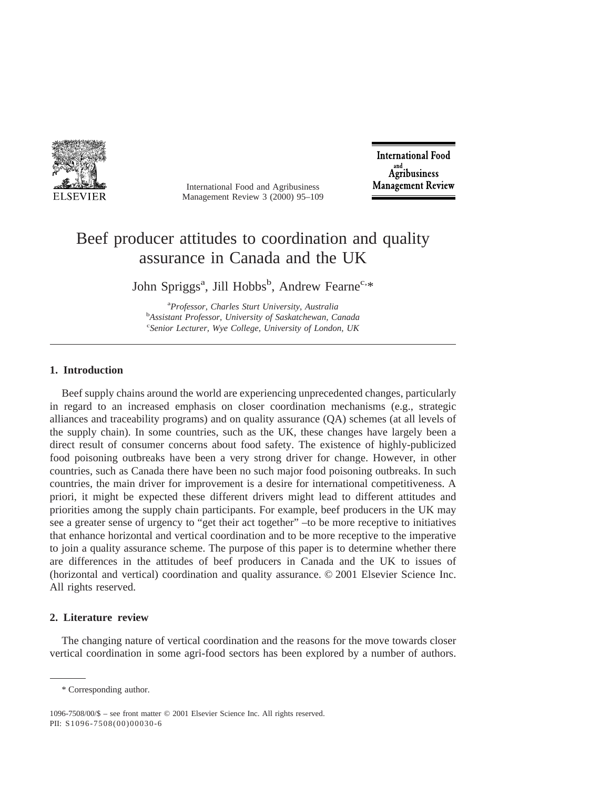

International Food and Agribusiness Management Review 3 (2000) 95–109

**International Food** Agribusiness **Management Review** 

# Beef producer attitudes to coordination and quality assurance in Canada and the UK

John Spriggs<sup>a</sup>, Jill Hobbs<sup>b</sup>, Andrew Fearne<sup>c,\*</sup>

<sup>a</sup>Professor, Charles Sturt University, Australia *Professor, Charles Sturt University, Australia* <sup>b</sup> *Assistant Professor, University of Saskatchewan, Canada* c *Senior Lecturer, Wye College, University of London, UK*

# **1. Introduction**

Beef supply chains around the world are experiencing unprecedented changes, particularly in regard to an increased emphasis on closer coordination mechanisms (e.g., strategic alliances and traceability programs) and on quality assurance (QA) schemes (at all levels of the supply chain). In some countries, such as the UK, these changes have largely been a direct result of consumer concerns about food safety. The existence of highly-publicized food poisoning outbreaks have been a very strong driver for change. However, in other countries, such as Canada there have been no such major food poisoning outbreaks. In such countries, the main driver for improvement is a desire for international competitiveness. A priori, it might be expected these different drivers might lead to different attitudes and priorities among the supply chain participants. For example, beef producers in the UK may see a greater sense of urgency to "get their act together" –to be more receptive to initiatives that enhance horizontal and vertical coordination and to be more receptive to the imperative to join a quality assurance scheme. The purpose of this paper is to determine whether there are differences in the attitudes of beef producers in Canada and the UK to issues of (horizontal and vertical) coordination and quality assurance. © 2001 Elsevier Science Inc. All rights reserved.

# **2. Literature review**

The changing nature of vertical coordination and the reasons for the move towards closer vertical coordination in some agri-food sectors has been explored by a number of authors.

<sup>\*</sup> Corresponding author.

<sup>1096-7508/00/\$ –</sup> see front matter © 2001 Elsevier Science Inc. All rights reserved. PII: S1096-7508(00)00030-6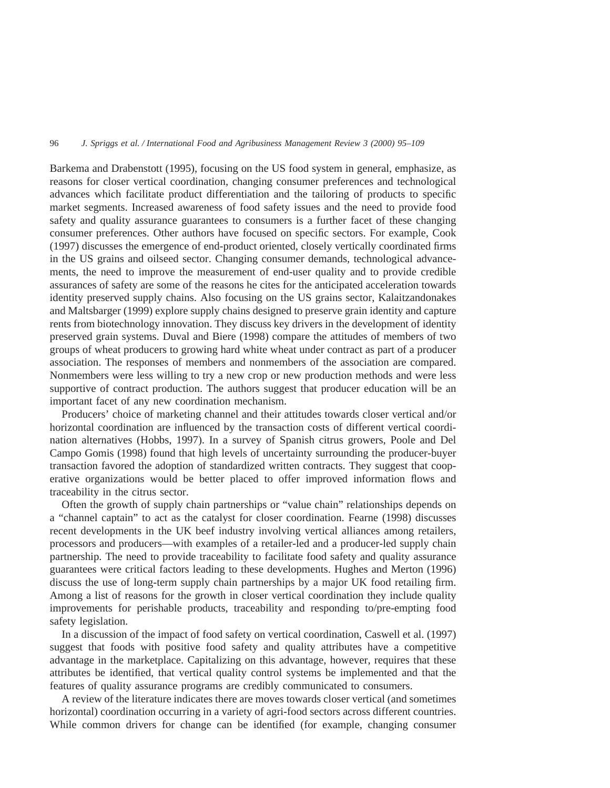Barkema and Drabenstott (1995), focusing on the US food system in general, emphasize, as reasons for closer vertical coordination, changing consumer preferences and technological advances which facilitate product differentiation and the tailoring of products to specific market segments. Increased awareness of food safety issues and the need to provide food safety and quality assurance guarantees to consumers is a further facet of these changing consumer preferences. Other authors have focused on specific sectors. For example, Cook (1997) discusses the emergence of end-product oriented, closely vertically coordinated firms in the US grains and oilseed sector. Changing consumer demands, technological advancements, the need to improve the measurement of end-user quality and to provide credible assurances of safety are some of the reasons he cites for the anticipated acceleration towards identity preserved supply chains. Also focusing on the US grains sector, Kalaitzandonakes and Maltsbarger (1999) explore supply chains designed to preserve grain identity and capture rents from biotechnology innovation. They discuss key drivers in the development of identity preserved grain systems. Duval and Biere (1998) compare the attitudes of members of two groups of wheat producers to growing hard white wheat under contract as part of a producer association. The responses of members and nonmembers of the association are compared. Nonmembers were less willing to try a new crop or new production methods and were less supportive of contract production. The authors suggest that producer education will be an important facet of any new coordination mechanism.

Producers' choice of marketing channel and their attitudes towards closer vertical and/or horizontal coordination are influenced by the transaction costs of different vertical coordination alternatives (Hobbs, 1997). In a survey of Spanish citrus growers, Poole and Del Campo Gomis (1998) found that high levels of uncertainty surrounding the producer-buyer transaction favored the adoption of standardized written contracts. They suggest that cooperative organizations would be better placed to offer improved information flows and traceability in the citrus sector.

Often the growth of supply chain partnerships or "value chain" relationships depends on a "channel captain" to act as the catalyst for closer coordination. Fearne (1998) discusses recent developments in the UK beef industry involving vertical alliances among retailers, processors and producers—with examples of a retailer-led and a producer-led supply chain partnership. The need to provide traceability to facilitate food safety and quality assurance guarantees were critical factors leading to these developments. Hughes and Merton (1996) discuss the use of long-term supply chain partnerships by a major UK food retailing firm. Among a list of reasons for the growth in closer vertical coordination they include quality improvements for perishable products, traceability and responding to/pre-empting food safety legislation.

In a discussion of the impact of food safety on vertical coordination, Caswell et al. (1997) suggest that foods with positive food safety and quality attributes have a competitive advantage in the marketplace. Capitalizing on this advantage, however, requires that these attributes be identified, that vertical quality control systems be implemented and that the features of quality assurance programs are credibly communicated to consumers.

A review of the literature indicates there are moves towards closer vertical (and sometimes horizontal) coordination occurring in a variety of agri-food sectors across different countries. While common drivers for change can be identified (for example, changing consumer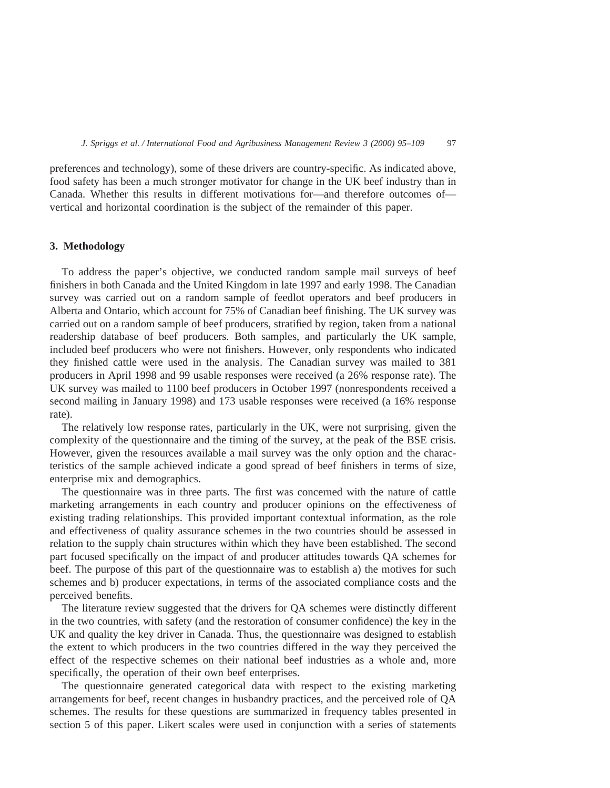preferences and technology), some of these drivers are country-specific. As indicated above, food safety has been a much stronger motivator for change in the UK beef industry than in Canada. Whether this results in different motivations for—and therefore outcomes of vertical and horizontal coordination is the subject of the remainder of this paper.

#### **3. Methodology**

To address the paper's objective, we conducted random sample mail surveys of beef finishers in both Canada and the United Kingdom in late 1997 and early 1998. The Canadian survey was carried out on a random sample of feedlot operators and beef producers in Alberta and Ontario, which account for 75% of Canadian beef finishing. The UK survey was carried out on a random sample of beef producers, stratified by region, taken from a national readership database of beef producers. Both samples, and particularly the UK sample, included beef producers who were not finishers. However, only respondents who indicated they finished cattle were used in the analysis. The Canadian survey was mailed to 381 producers in April 1998 and 99 usable responses were received (a 26% response rate). The UK survey was mailed to 1100 beef producers in October 1997 (nonrespondents received a second mailing in January 1998) and 173 usable responses were received (a 16% response rate).

The relatively low response rates, particularly in the UK, were not surprising, given the complexity of the questionnaire and the timing of the survey, at the peak of the BSE crisis. However, given the resources available a mail survey was the only option and the characteristics of the sample achieved indicate a good spread of beef finishers in terms of size, enterprise mix and demographics.

The questionnaire was in three parts. The first was concerned with the nature of cattle marketing arrangements in each country and producer opinions on the effectiveness of existing trading relationships. This provided important contextual information, as the role and effectiveness of quality assurance schemes in the two countries should be assessed in relation to the supply chain structures within which they have been established. The second part focused specifically on the impact of and producer attitudes towards QA schemes for beef. The purpose of this part of the questionnaire was to establish a) the motives for such schemes and b) producer expectations, in terms of the associated compliance costs and the perceived benefits.

The literature review suggested that the drivers for QA schemes were distinctly different in the two countries, with safety (and the restoration of consumer confidence) the key in the UK and quality the key driver in Canada. Thus, the questionnaire was designed to establish the extent to which producers in the two countries differed in the way they perceived the effect of the respective schemes on their national beef industries as a whole and, more specifically, the operation of their own beef enterprises.

The questionnaire generated categorical data with respect to the existing marketing arrangements for beef, recent changes in husbandry practices, and the perceived role of QA schemes. The results for these questions are summarized in frequency tables presented in section 5 of this paper. Likert scales were used in conjunction with a series of statements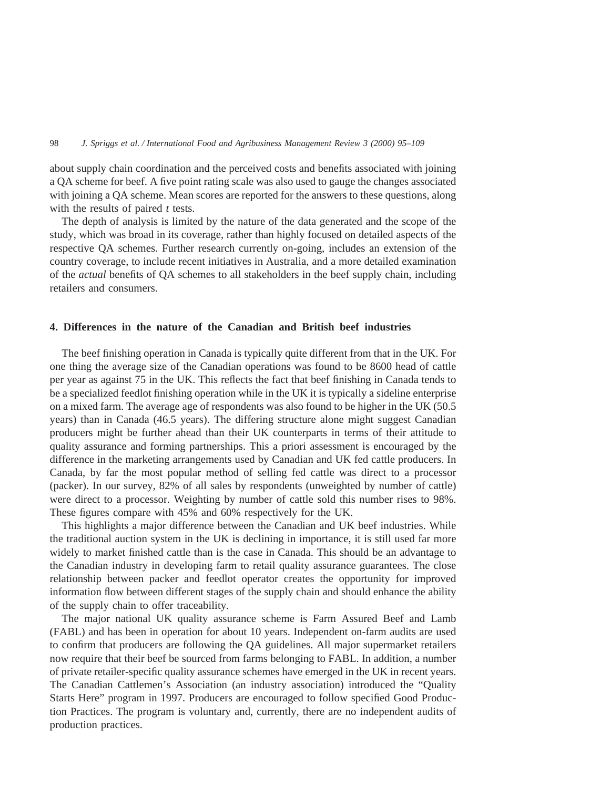about supply chain coordination and the perceived costs and benefits associated with joining a QA scheme for beef. A five point rating scale was also used to gauge the changes associated with joining a QA scheme. Mean scores are reported for the answers to these questions, along with the results of paired *t* tests.

The depth of analysis is limited by the nature of the data generated and the scope of the study, which was broad in its coverage, rather than highly focused on detailed aspects of the respective QA schemes. Further research currently on-going, includes an extension of the country coverage, to include recent initiatives in Australia, and a more detailed examination of the *actual* benefits of QA schemes to all stakeholders in the beef supply chain, including retailers and consumers.

### **4. Differences in the nature of the Canadian and British beef industries**

The beef finishing operation in Canada is typically quite different from that in the UK. For one thing the average size of the Canadian operations was found to be 8600 head of cattle per year as against 75 in the UK. This reflects the fact that beef finishing in Canada tends to be a specialized feedlot finishing operation while in the UK it is typically a sideline enterprise on a mixed farm. The average age of respondents was also found to be higher in the UK (50.5 years) than in Canada (46.5 years). The differing structure alone might suggest Canadian producers might be further ahead than their UK counterparts in terms of their attitude to quality assurance and forming partnerships. This a priori assessment is encouraged by the difference in the marketing arrangements used by Canadian and UK fed cattle producers. In Canada, by far the most popular method of selling fed cattle was direct to a processor (packer). In our survey, 82% of all sales by respondents (unweighted by number of cattle) were direct to a processor. Weighting by number of cattle sold this number rises to 98%. These figures compare with 45% and 60% respectively for the UK.

This highlights a major difference between the Canadian and UK beef industries. While the traditional auction system in the UK is declining in importance, it is still used far more widely to market finished cattle than is the case in Canada. This should be an advantage to the Canadian industry in developing farm to retail quality assurance guarantees. The close relationship between packer and feedlot operator creates the opportunity for improved information flow between different stages of the supply chain and should enhance the ability of the supply chain to offer traceability.

The major national UK quality assurance scheme is Farm Assured Beef and Lamb (FABL) and has been in operation for about 10 years. Independent on-farm audits are used to confirm that producers are following the QA guidelines. All major supermarket retailers now require that their beef be sourced from farms belonging to FABL. In addition, a number of private retailer-specific quality assurance schemes have emerged in the UK in recent years. The Canadian Cattlemen's Association (an industry association) introduced the "Quality Starts Here" program in 1997. Producers are encouraged to follow specified Good Production Practices. The program is voluntary and, currently, there are no independent audits of production practices.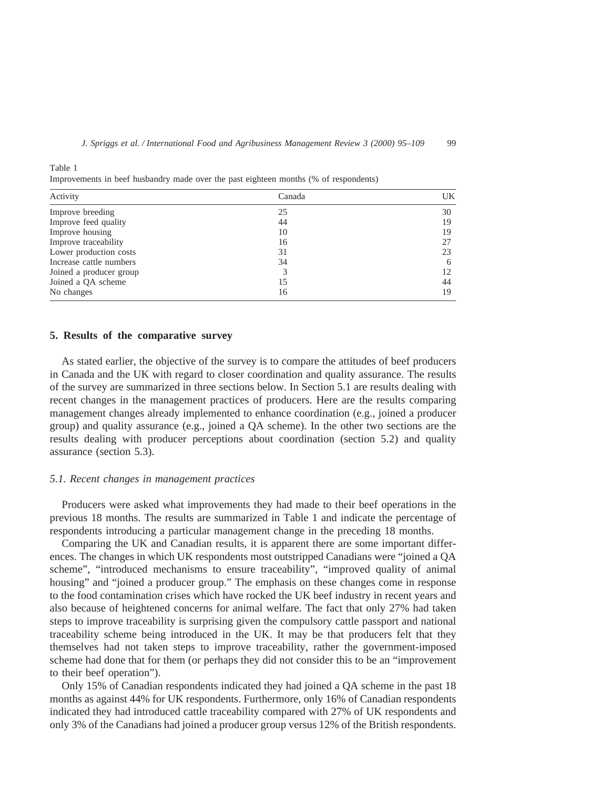| . .<br>٧<br>۹<br>×<br>× |  |
|-------------------------|--|
|-------------------------|--|

Improvements in beef husbandry made over the past eighteen months (% of respondents)

| Activity                | Canada | UK |
|-------------------------|--------|----|
| Improve breeding        | 25     | 30 |
| Improve feed quality    | 44     | 19 |
| Improve housing         | 10     | 19 |
| Improve traceability    | 16     | 27 |
| Lower production costs  | 31     | 23 |
| Increase cattle numbers | 34     | 6  |
| Joined a producer group |        | 12 |
| Joined a QA scheme      | 15     | 44 |
| No changes              | 16     | 19 |

#### **5. Results of the comparative survey**

As stated earlier, the objective of the survey is to compare the attitudes of beef producers in Canada and the UK with regard to closer coordination and quality assurance. The results of the survey are summarized in three sections below. In Section 5.1 are results dealing with recent changes in the management practices of producers. Here are the results comparing management changes already implemented to enhance coordination (e.g., joined a producer group) and quality assurance (e.g., joined a QA scheme). In the other two sections are the results dealing with producer perceptions about coordination (section 5.2) and quality assurance (section 5.3).

#### *5.1. Recent changes in management practices*

Producers were asked what improvements they had made to their beef operations in the previous 18 months. The results are summarized in Table 1 and indicate the percentage of respondents introducing a particular management change in the preceding 18 months.

Comparing the UK and Canadian results, it is apparent there are some important differences. The changes in which UK respondents most outstripped Canadians were "joined a QA scheme", "introduced mechanisms to ensure traceability", "improved quality of animal housing" and "joined a producer group." The emphasis on these changes come in response to the food contamination crises which have rocked the UK beef industry in recent years and also because of heightened concerns for animal welfare. The fact that only 27% had taken steps to improve traceability is surprising given the compulsory cattle passport and national traceability scheme being introduced in the UK. It may be that producers felt that they themselves had not taken steps to improve traceability, rather the government-imposed scheme had done that for them (or perhaps they did not consider this to be an "improvement to their beef operation").

Only 15% of Canadian respondents indicated they had joined a QA scheme in the past 18 months as against 44% for UK respondents. Furthermore, only 16% of Canadian respondents indicated they had introduced cattle traceability compared with 27% of UK respondents and only 3% of the Canadians had joined a producer group versus 12% of the British respondents.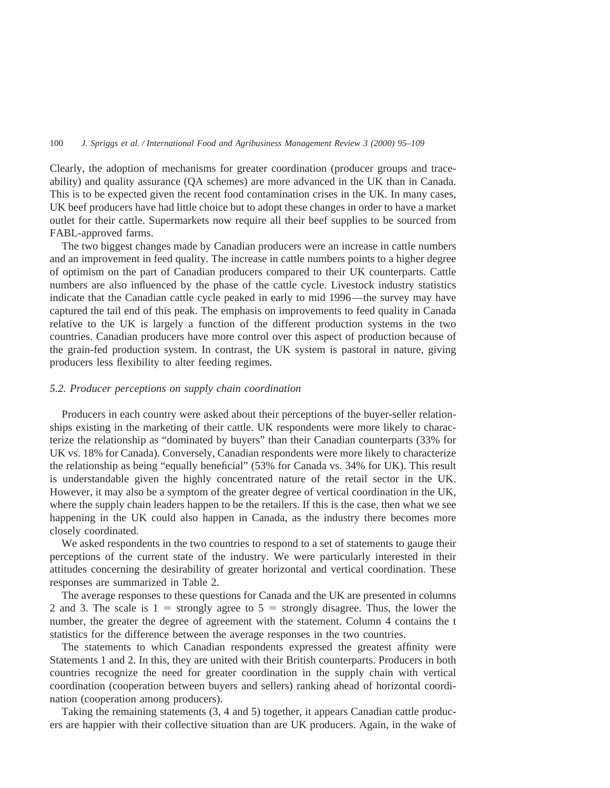Clearly, the adoption of mechanisms for greater coordination (producer groups and traceability) and quality assurance (QA schemes) are more advanced in the UK than in Canada. This is to be expected given the recent food contamination crises in the UK. In many cases, UK beef producers have had little choice but to adopt these changes in order to have a market outlet for their cattle. Supermarkets now require all their beef supplies to be sourced from FABL-approved farms.

The two biggest changes made by Canadian producers were an increase in cattle numbers and an improvement in feed quality. The increase in cattle numbers points to a higher degree of optimism on the part of Canadian producers compared to their UK counterparts. Cattle numbers are also influenced by the phase of the cattle cycle. Livestock industry statistics indicate that the Canadian cattle cycle peaked in early to mid 1996—the survey may have captured the tail end of this peak. The emphasis on improvements to feed quality in Canada relative to the UK is largely a function of the different production systems in the two countries. Canadian producers have more control over this aspect of production because of the grain-fed production system. In contrast, the UK system is pastoral in nature, giving producers less flexibility to alter feeding regimes.

#### *5.2. Producer perceptions on supply chain coordination*

Producers in each country were asked about their perceptions of the buyer-seller relationships existing in the marketing of their cattle. UK respondents were more likely to characterize the relationship as "dominated by buyers" than their Canadian counterparts (33% for UK vs. 18% for Canada). Conversely, Canadian respondents were more likely to characterize the relationship as being "equally beneficial" (53% for Canada vs. 34% for UK). This result is understandable given the highly concentrated nature of the retail sector in the UK. However, it may also be a symptom of the greater degree of vertical coordination in the UK, where the supply chain leaders happen to be the retailers. If this is the case, then what we see happening in the UK could also happen in Canada, as the industry there becomes more closely coordinated.

We asked respondents in the two countries to respond to a set of statements to gauge their perceptions of the current state of the industry. We were particularly interested in their attitudes concerning the desirability of greater horizontal and vertical coordination. These responses are summarized in Table 2.

The average responses to these questions for Canada and the UK are presented in columns 2 and 3. The scale is  $1 =$  strongly agree to  $5 =$  strongly disagree. Thus, the lower the number, the greater the degree of agreement with the statement. Column 4 contains the t statistics for the difference between the average responses in the two countries.

The statements to which Canadian respondents expressed the greatest affinity were Statements 1 and 2. In this, they are united with their British counterparts. Producers in both countries recognize the need for greater coordination in the supply chain with vertical coordination (cooperation between buyers and sellers) ranking ahead of horizontal coordination (cooperation among producers).

Taking the remaining statements (3, 4 and 5) together, it appears Canadian cattle producers are happier with their collective situation than are UK producers. Again, in the wake of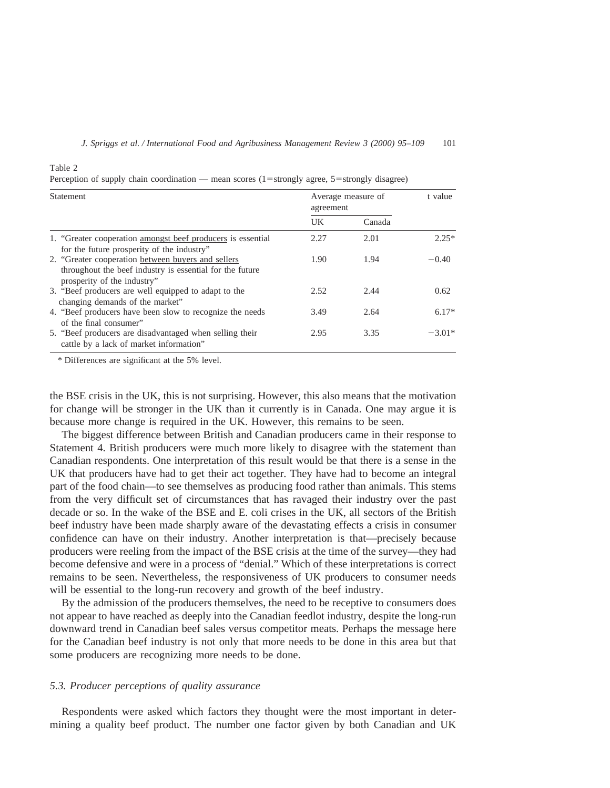Table 2

|  | Perception of supply chain coordination — mean scores $(1 = \text{strongly agree}, 5 = \text{strongly disagree})$ |  |  |  |  |
|--|-------------------------------------------------------------------------------------------------------------------|--|--|--|--|
|  |                                                                                                                   |  |  |  |  |

| <b>Statement</b>                                                                                                                              |      | Average measure of<br>agreement |          |  |  |  |
|-----------------------------------------------------------------------------------------------------------------------------------------------|------|---------------------------------|----------|--|--|--|
|                                                                                                                                               | UK.  | Canada                          |          |  |  |  |
| 1. "Greater cooperation amongst beef producers is essential<br>for the future prosperity of the industry"                                     | 2.27 | 2.01                            | $2.25*$  |  |  |  |
| 2. "Greater cooperation between buyers and sellers<br>throughout the beef industry is essential for the future<br>prosperity of the industry" | 1.90 | 1.94                            | $-0.40$  |  |  |  |
| 3. "Beef producers are well equipped to adapt to the<br>changing demands of the market"                                                       | 2.52 | 2.44                            | 0.62     |  |  |  |
| 4. "Beef producers have been slow to recognize the needs<br>of the final consumer"                                                            | 3.49 | 2.64                            | $6.17*$  |  |  |  |
| 5. "Beef producers are disadvantaged when selling their<br>cattle by a lack of market information"                                            | 2.95 | 3.35                            | $-3.01*$ |  |  |  |

\* Differences are significant at the 5% level.

the BSE crisis in the UK, this is not surprising. However, this also means that the motivation for change will be stronger in the UK than it currently is in Canada. One may argue it is because more change is required in the UK. However, this remains to be seen.

The biggest difference between British and Canadian producers came in their response to Statement 4. British producers were much more likely to disagree with the statement than Canadian respondents. One interpretation of this result would be that there is a sense in the UK that producers have had to get their act together. They have had to become an integral part of the food chain—to see themselves as producing food rather than animals. This stems from the very difficult set of circumstances that has ravaged their industry over the past decade or so. In the wake of the BSE and E. coli crises in the UK, all sectors of the British beef industry have been made sharply aware of the devastating effects a crisis in consumer confidence can have on their industry. Another interpretation is that—precisely because producers were reeling from the impact of the BSE crisis at the time of the survey—they had become defensive and were in a process of "denial." Which of these interpretations is correct remains to be seen. Nevertheless, the responsiveness of UK producers to consumer needs will be essential to the long-run recovery and growth of the beef industry.

By the admission of the producers themselves, the need to be receptive to consumers does not appear to have reached as deeply into the Canadian feedlot industry, despite the long-run downward trend in Canadian beef sales versus competitor meats. Perhaps the message here for the Canadian beef industry is not only that more needs to be done in this area but that some producers are recognizing more needs to be done.

# *5.3. Producer perceptions of quality assurance*

Respondents were asked which factors they thought were the most important in determining a quality beef product. The number one factor given by both Canadian and UK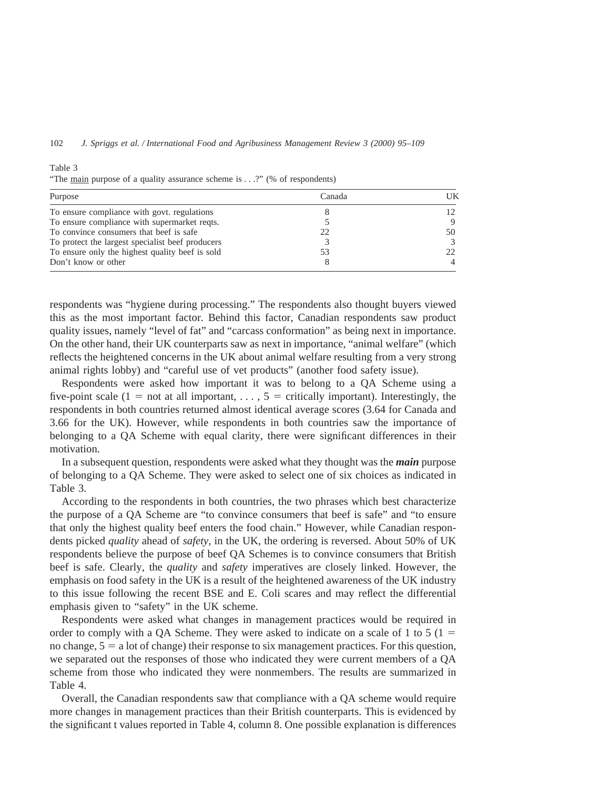|--|--|

|  |  |  |  |  | "The main purpose of a quality assurance scheme is $\ldots$ ." (% of respondents) |  |
|--|--|--|--|--|-----------------------------------------------------------------------------------|--|
|  |  |  |  |  |                                                                                   |  |
|  |  |  |  |  |                                                                                   |  |

| Purpose                                          | Canada | UK  |
|--------------------------------------------------|--------|-----|
| To ensure compliance with govt. regulations      |        |     |
| To ensure compliance with supermarket reqts.     |        |     |
| To convince consumers that beef is safe          | 22     | 50. |
| To protect the largest specialist beef producers |        |     |
| To ensure only the highest quality beef is sold  | 53     | 22. |
| Don't know or other                              |        |     |

respondents was "hygiene during processing." The respondents also thought buyers viewed this as the most important factor. Behind this factor, Canadian respondents saw product quality issues, namely "level of fat" and "carcass conformation" as being next in importance. On the other hand, their UK counterparts saw as next in importance, "animal welfare" (which reflects the heightened concerns in the UK about animal welfare resulting from a very strong animal rights lobby) and "careful use of vet products" (another food safety issue).

Respondents were asked how important it was to belong to a QA Scheme using a five-point scale (1 = not at all important, ...,  $5 =$  critically important). Interestingly, the respondents in both countries returned almost identical average scores (3.64 for Canada and 3.66 for the UK). However, while respondents in both countries saw the importance of belonging to a QA Scheme with equal clarity, there were significant differences in their motivation.

In a subsequent question, respondents were asked what they thought was the *main* purpose of belonging to a QA Scheme. They were asked to select one of six choices as indicated in Table 3.

According to the respondents in both countries, the two phrases which best characterize the purpose of a QA Scheme are "to convince consumers that beef is safe" and "to ensure that only the highest quality beef enters the food chain." However, while Canadian respondents picked *quality* ahead of *safety,* in the UK, the ordering is reversed. About 50% of UK respondents believe the purpose of beef QA Schemes is to convince consumers that British beef is safe. Clearly, the *quality* and *safety* imperatives are closely linked. However, the emphasis on food safety in the UK is a result of the heightened awareness of the UK industry to this issue following the recent BSE and E. Coli scares and may reflect the differential emphasis given to "safety" in the UK scheme.

Respondents were asked what changes in management practices would be required in order to comply with a QA Scheme. They were asked to indicate on a scale of 1 to 5 ( $1 =$ no change,  $5 = a$  lot of change) their response to six management practices. For this question, we separated out the responses of those who indicated they were current members of a QA scheme from those who indicated they were nonmembers. The results are summarized in Table 4.

Overall, the Canadian respondents saw that compliance with a QA scheme would require more changes in management practices than their British counterparts. This is evidenced by the significant t values reported in Table 4, column 8. One possible explanation is differences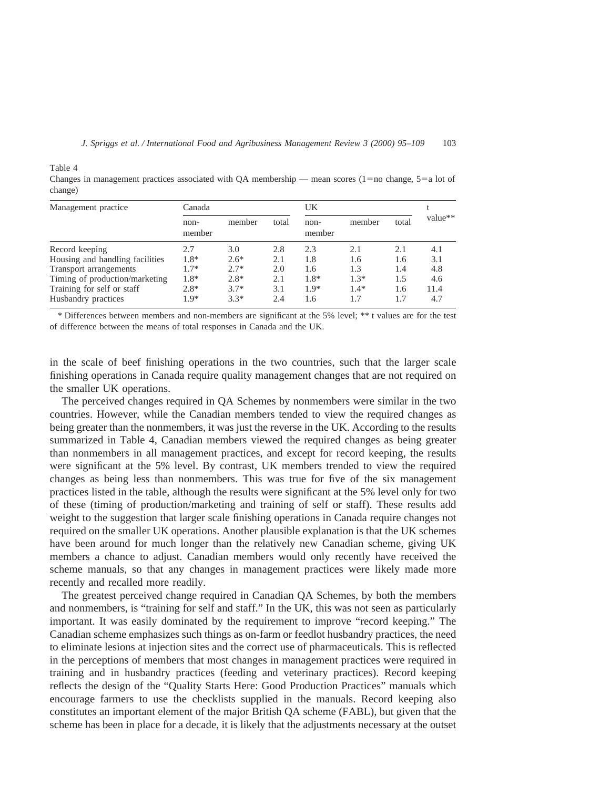Table 4

Changes in management practices associated with QA membership — mean scores  $(1=n \text{ change}, 5=a \text{ lot of})$ change)

| Management practice             | Canada                     |        |                  | UK     |        |         |      |
|---------------------------------|----------------------------|--------|------------------|--------|--------|---------|------|
|                                 | member<br>$non-$<br>member | total  | $non-$<br>member | member | total  | value** |      |
| Record keeping                  | 2.7                        | 3.0    | 2.8              | 2.3    | 2.1    | 2.1     | 4.1  |
| Housing and handling facilities | $1.8*$                     | $2.6*$ | 2.1              | 1.8    | 1.6    | 1.6     | 3.1  |
| Transport arrangements          | $1.7*$                     | $2.7*$ | 2.0              | 1.6    | 1.3    | 1.4     | 4.8  |
| Timing of production/marketing  | $1.8*$                     | $2.8*$ | 2.1              | $1.8*$ | $1.3*$ | 1.5     | 4.6  |
| Training for self or staff      | $2.8*$                     | $3.7*$ | 3.1              | $1.9*$ | $1.4*$ | 1.6     | 11.4 |
| Husbandry practices             | $1.9*$                     | $3.3*$ | 2.4              | 1.6    | 1.7    | 1.7     | 4.7  |

\* Differences between members and non-members are significant at the 5% level; \*\* t values are for the test of difference between the means of total responses in Canada and the UK.

in the scale of beef finishing operations in the two countries, such that the larger scale finishing operations in Canada require quality management changes that are not required on the smaller UK operations.

The perceived changes required in QA Schemes by nonmembers were similar in the two countries. However, while the Canadian members tended to view the required changes as being greater than the nonmembers, it was just the reverse in the UK. According to the results summarized in Table 4, Canadian members viewed the required changes as being greater than nonmembers in all management practices, and except for record keeping, the results were significant at the 5% level. By contrast, UK members trended to view the required changes as being less than nonmembers. This was true for five of the six management practices listed in the table, although the results were significant at the 5% level only for two of these (timing of production/marketing and training of self or staff). These results add weight to the suggestion that larger scale finishing operations in Canada require changes not required on the smaller UK operations. Another plausible explanation is that the UK schemes have been around for much longer than the relatively new Canadian scheme, giving UK members a chance to adjust. Canadian members would only recently have received the scheme manuals, so that any changes in management practices were likely made more recently and recalled more readily.

The greatest perceived change required in Canadian QA Schemes, by both the members and nonmembers, is "training for self and staff." In the UK, this was not seen as particularly important. It was easily dominated by the requirement to improve "record keeping." The Canadian scheme emphasizes such things as on-farm or feedlot husbandry practices, the need to eliminate lesions at injection sites and the correct use of pharmaceuticals. This is reflected in the perceptions of members that most changes in management practices were required in training and in husbandry practices (feeding and veterinary practices). Record keeping reflects the design of the "Quality Starts Here: Good Production Practices" manuals which encourage farmers to use the checklists supplied in the manuals. Record keeping also constitutes an important element of the major British QA scheme (FABL), but given that the scheme has been in place for a decade, it is likely that the adjustments necessary at the outset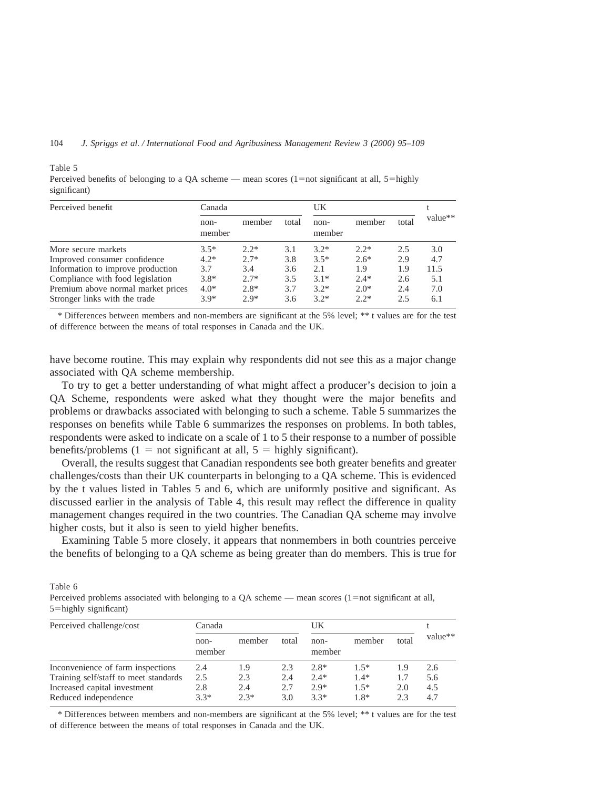Table 5

Perceived benefits of belonging to a QA scheme — mean scores  $(1=not$  significant at all,  $5=$ highly significant)

| Perceived benefit                  | Canada           |                 | UK  |                  |                 |     |         |  |
|------------------------------------|------------------|-----------------|-----|------------------|-----------------|-----|---------|--|
|                                    | $non-$<br>member | total<br>member |     | $non-$<br>member | member<br>total |     | value** |  |
| More secure markets                | $3.5*$           | $2.2*$          | 3.1 | $3.2*$           | $2.2*$          | 2.5 | 3.0     |  |
| Improved consumer confidence       | $4.2*$           | $2.7*$          | 3.8 | $3.5*$           | $2.6*$          | 2.9 | 4.7     |  |
| Information to improve production  | 3.7              | 3.4             | 3.6 | 2.1              | 1.9             | 1.9 | 11.5    |  |
| Compliance with food legislation   | $3.8*$           | $2.7*$          | 3.5 | $3.1*$           | $2.4*$          | 2.6 | 5.1     |  |
| Premium above normal market prices | $4.0*$           | $2.8*$          | 3.7 | $3.2*$           | $2.0*$          | 2.4 | 7.0     |  |
| Stronger links with the trade      | $3.9*$           | $2.9*$          | 3.6 | $3.2*$           | $2.2*$          | 2.5 | 6.1     |  |

\* Differences between members and non-members are significant at the 5% level; \*\* t values are for the test of difference between the means of total responses in Canada and the UK.

have become routine. This may explain why respondents did not see this as a major change associated with QA scheme membership.

To try to get a better understanding of what might affect a producer's decision to join a QA Scheme, respondents were asked what they thought were the major benefits and problems or drawbacks associated with belonging to such a scheme. Table 5 summarizes the responses on benefits while Table 6 summarizes the responses on problems. In both tables, respondents were asked to indicate on a scale of 1 to 5 their response to a number of possible benefits/problems (1 = not significant at all,  $5 =$  highly significant).

Overall, the results suggest that Canadian respondents see both greater benefits and greater challenges/costs than their UK counterparts in belonging to a QA scheme. This is evidenced by the t values listed in Tables 5 and 6, which are uniformly positive and significant. As discussed earlier in the analysis of Table 4, this result may reflect the difference in quality management changes required in the two countries. The Canadian QA scheme may involve higher costs, but it also is seen to yield higher benefits.

Examining Table 5 more closely, it appears that nonmembers in both countries perceive the benefits of belonging to a QA scheme as being greater than do members. This is true for

Table 6 Perceived problems associated with belonging to a  $QA$  scheme — mean scores (1=not significant at all,  $5 =$ highly significant)

| Perceived challenge/cost              | Canada           |        |       | UK               |        |       |         |
|---------------------------------------|------------------|--------|-------|------------------|--------|-------|---------|
|                                       | $non-$<br>member | member | total | $non-$<br>member | member | total | value** |
| Inconvenience of farm inspections     | 2.4              | 1.9    | 2.3   | $2.8*$           | $1.5*$ | 1.9   | 2.6     |
| Training self/staff to meet standards | 2.5              | 2.3    | 2.4   | $2.4*$           | $1.4*$ | 1.7   | 5.6     |
| Increased capital investment          | 2.8              | 2.4    | 2.7   | $2.9*$           | $1.5*$ | 2.0   | 4.5     |
| Reduced independence                  | $3.3*$           | $2.3*$ | 3.0   | $3.3*$           | $1.8*$ | 2.3   | 4.7     |

\* Differences between members and non-members are significant at the 5% level; \*\* t values are for the test of difference between the means of total responses in Canada and the UK.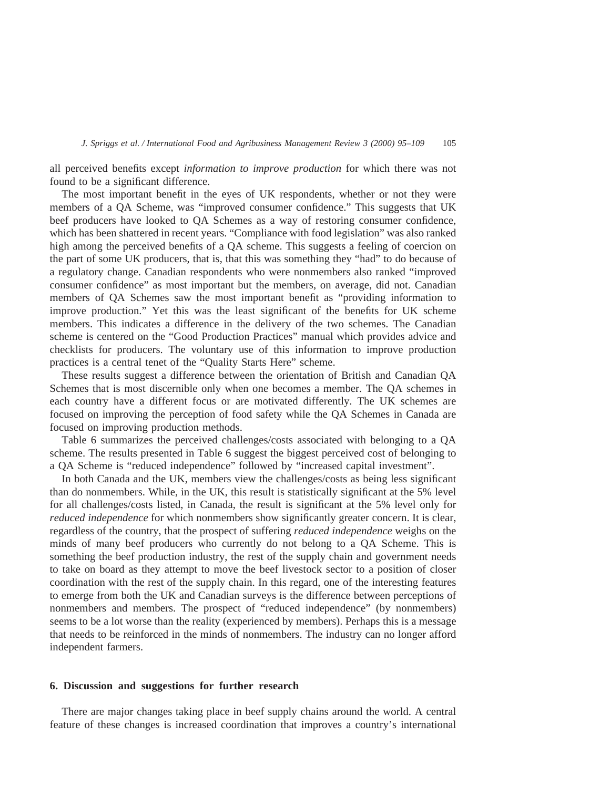all perceived benefits except *information to improve production* for which there was not found to be a significant difference.

The most important benefit in the eyes of UK respondents, whether or not they were members of a QA Scheme, was "improved consumer confidence." This suggests that UK beef producers have looked to QA Schemes as a way of restoring consumer confidence, which has been shattered in recent years. "Compliance with food legislation" was also ranked high among the perceived benefits of a QA scheme. This suggests a feeling of coercion on the part of some UK producers, that is, that this was something they "had" to do because of a regulatory change. Canadian respondents who were nonmembers also ranked "improved consumer confidence" as most important but the members, on average, did not. Canadian members of QA Schemes saw the most important benefit as "providing information to improve production." Yet this was the least significant of the benefits for UK scheme members. This indicates a difference in the delivery of the two schemes. The Canadian scheme is centered on the "Good Production Practices" manual which provides advice and checklists for producers. The voluntary use of this information to improve production practices is a central tenet of the "Quality Starts Here" scheme.

These results suggest a difference between the orientation of British and Canadian QA Schemes that is most discernible only when one becomes a member. The QA schemes in each country have a different focus or are motivated differently. The UK schemes are focused on improving the perception of food safety while the QA Schemes in Canada are focused on improving production methods.

Table 6 summarizes the perceived challenges/costs associated with belonging to a QA scheme. The results presented in Table 6 suggest the biggest perceived cost of belonging to a QA Scheme is "reduced independence" followed by "increased capital investment".

In both Canada and the UK, members view the challenges/costs as being less significant than do nonmembers. While, in the UK, this result is statistically significant at the 5% level for all challenges/costs listed, in Canada, the result is significant at the 5% level only for *reduced independence* for which nonmembers show significantly greater concern. It is clear, regardless of the country, that the prospect of suffering *reduced independence* weighs on the minds of many beef producers who currently do not belong to a QA Scheme. This is something the beef production industry, the rest of the supply chain and government needs to take on board as they attempt to move the beef livestock sector to a position of closer coordination with the rest of the supply chain. In this regard, one of the interesting features to emerge from both the UK and Canadian surveys is the difference between perceptions of nonmembers and members. The prospect of "reduced independence" (by nonmembers) seems to be a lot worse than the reality (experienced by members). Perhaps this is a message that needs to be reinforced in the minds of nonmembers. The industry can no longer afford independent farmers.

# **6. Discussion and suggestions for further research**

There are major changes taking place in beef supply chains around the world. A central feature of these changes is increased coordination that improves a country's international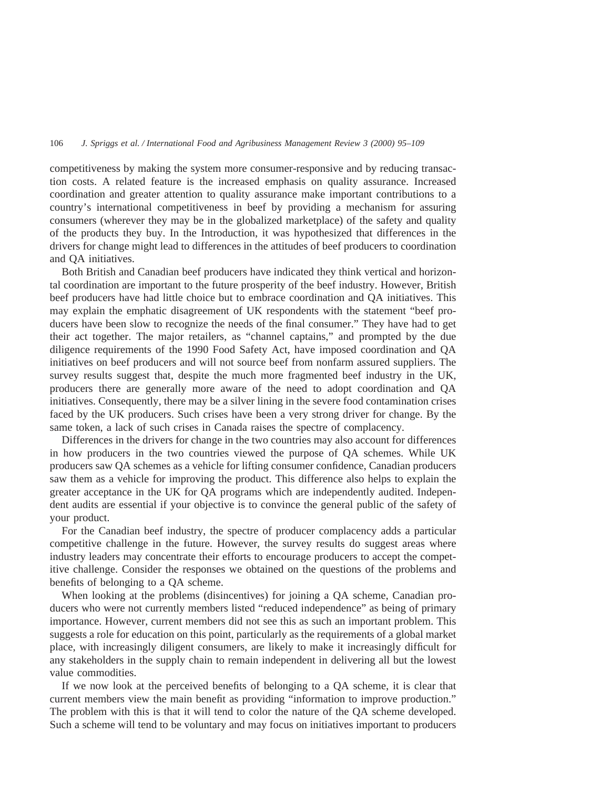competitiveness by making the system more consumer-responsive and by reducing transaction costs. A related feature is the increased emphasis on quality assurance. Increased coordination and greater attention to quality assurance make important contributions to a country's international competitiveness in beef by providing a mechanism for assuring consumers (wherever they may be in the globalized marketplace) of the safety and quality of the products they buy. In the Introduction, it was hypothesized that differences in the drivers for change might lead to differences in the attitudes of beef producers to coordination and QA initiatives.

Both British and Canadian beef producers have indicated they think vertical and horizontal coordination are important to the future prosperity of the beef industry. However, British beef producers have had little choice but to embrace coordination and QA initiatives. This may explain the emphatic disagreement of UK respondents with the statement "beef producers have been slow to recognize the needs of the final consumer." They have had to get their act together. The major retailers, as "channel captains," and prompted by the due diligence requirements of the 1990 Food Safety Act, have imposed coordination and QA initiatives on beef producers and will not source beef from nonfarm assured suppliers. The survey results suggest that, despite the much more fragmented beef industry in the UK, producers there are generally more aware of the need to adopt coordination and QA initiatives. Consequently, there may be a silver lining in the severe food contamination crises faced by the UK producers. Such crises have been a very strong driver for change. By the same token, a lack of such crises in Canada raises the spectre of complacency.

Differences in the drivers for change in the two countries may also account for differences in how producers in the two countries viewed the purpose of QA schemes. While UK producers saw QA schemes as a vehicle for lifting consumer confidence, Canadian producers saw them as a vehicle for improving the product. This difference also helps to explain the greater acceptance in the UK for QA programs which are independently audited. Independent audits are essential if your objective is to convince the general public of the safety of your product.

For the Canadian beef industry, the spectre of producer complacency adds a particular competitive challenge in the future. However, the survey results do suggest areas where industry leaders may concentrate their efforts to encourage producers to accept the competitive challenge. Consider the responses we obtained on the questions of the problems and benefits of belonging to a QA scheme.

When looking at the problems (disincentives) for joining a QA scheme, Canadian producers who were not currently members listed "reduced independence" as being of primary importance. However, current members did not see this as such an important problem. This suggests a role for education on this point, particularly as the requirements of a global market place, with increasingly diligent consumers, are likely to make it increasingly difficult for any stakeholders in the supply chain to remain independent in delivering all but the lowest value commodities.

If we now look at the perceived benefits of belonging to a QA scheme, it is clear that current members view the main benefit as providing "information to improve production." The problem with this is that it will tend to color the nature of the QA scheme developed. Such a scheme will tend to be voluntary and may focus on initiatives important to producers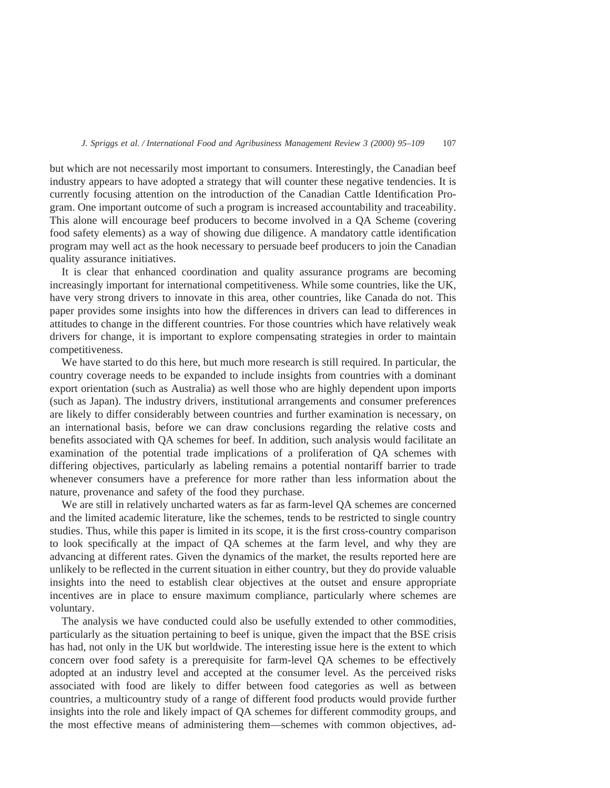but which are not necessarily most important to consumers. Interestingly, the Canadian beef industry appears to have adopted a strategy that will counter these negative tendencies. It is currently focusing attention on the introduction of the Canadian Cattle Identification Program. One important outcome of such a program is increased accountability and traceability. This alone will encourage beef producers to become involved in a QA Scheme (covering food safety elements) as a way of showing due diligence. A mandatory cattle identification program may well act as the hook necessary to persuade beef producers to join the Canadian quality assurance initiatives.

It is clear that enhanced coordination and quality assurance programs are becoming increasingly important for international competitiveness. While some countries, like the UK, have very strong drivers to innovate in this area, other countries, like Canada do not. This paper provides some insights into how the differences in drivers can lead to differences in attitudes to change in the different countries. For those countries which have relatively weak drivers for change, it is important to explore compensating strategies in order to maintain competitiveness.

We have started to do this here, but much more research is still required. In particular, the country coverage needs to be expanded to include insights from countries with a dominant export orientation (such as Australia) as well those who are highly dependent upon imports (such as Japan). The industry drivers, institutional arrangements and consumer preferences are likely to differ considerably between countries and further examination is necessary, on an international basis, before we can draw conclusions regarding the relative costs and benefits associated with QA schemes for beef. In addition, such analysis would facilitate an examination of the potential trade implications of a proliferation of QA schemes with differing objectives, particularly as labeling remains a potential nontariff barrier to trade whenever consumers have a preference for more rather than less information about the nature, provenance and safety of the food they purchase.

We are still in relatively uncharted waters as far as farm-level QA schemes are concerned and the limited academic literature, like the schemes, tends to be restricted to single country studies. Thus, while this paper is limited in its scope, it is the first cross-country comparison to look specifically at the impact of QA schemes at the farm level, and why they are advancing at different rates. Given the dynamics of the market, the results reported here are unlikely to be reflected in the current situation in either country, but they do provide valuable insights into the need to establish clear objectives at the outset and ensure appropriate incentives are in place to ensure maximum compliance, particularly where schemes are voluntary.

The analysis we have conducted could also be usefully extended to other commodities, particularly as the situation pertaining to beef is unique, given the impact that the BSE crisis has had, not only in the UK but worldwide. The interesting issue here is the extent to which concern over food safety is a prerequisite for farm-level QA schemes to be effectively adopted at an industry level and accepted at the consumer level. As the perceived risks associated with food are likely to differ between food categories as well as between countries, a multicountry study of a range of different food products would provide further insights into the role and likely impact of QA schemes for different commodity groups, and the most effective means of administering them—schemes with common objectives, ad-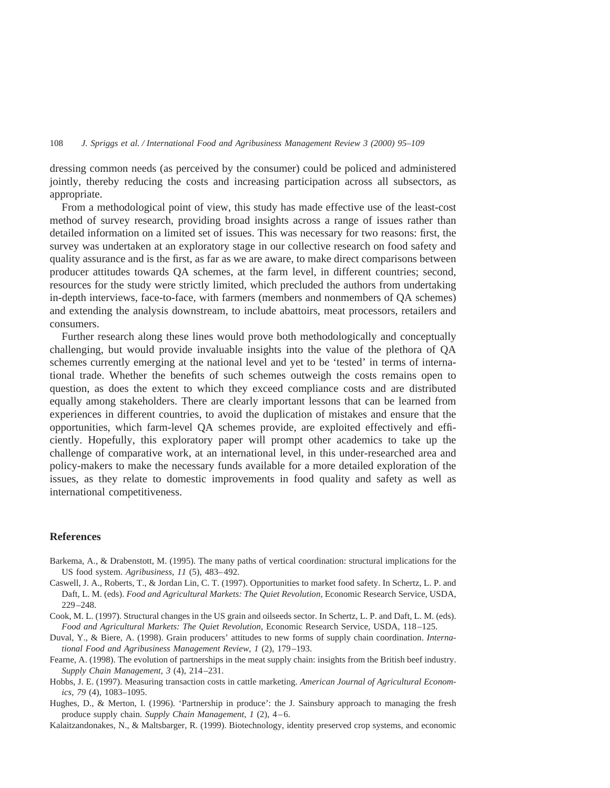dressing common needs (as perceived by the consumer) could be policed and administered jointly, thereby reducing the costs and increasing participation across all subsectors, as appropriate.

From a methodological point of view, this study has made effective use of the least-cost method of survey research, providing broad insights across a range of issues rather than detailed information on a limited set of issues. This was necessary for two reasons: first, the survey was undertaken at an exploratory stage in our collective research on food safety and quality assurance and is the first, as far as we are aware, to make direct comparisons between producer attitudes towards QA schemes, at the farm level, in different countries; second, resources for the study were strictly limited, which precluded the authors from undertaking in-depth interviews, face-to-face, with farmers (members and nonmembers of QA schemes) and extending the analysis downstream, to include abattoirs, meat processors, retailers and consumers.

Further research along these lines would prove both methodologically and conceptually challenging, but would provide invaluable insights into the value of the plethora of QA schemes currently emerging at the national level and yet to be 'tested' in terms of international trade. Whether the benefits of such schemes outweigh the costs remains open to question, as does the extent to which they exceed compliance costs and are distributed equally among stakeholders. There are clearly important lessons that can be learned from experiences in different countries, to avoid the duplication of mistakes and ensure that the opportunities, which farm-level QA schemes provide, are exploited effectively and efficiently. Hopefully, this exploratory paper will prompt other academics to take up the challenge of comparative work, at an international level, in this under-researched area and policy-makers to make the necessary funds available for a more detailed exploration of the issues, as they relate to domestic improvements in food quality and safety as well as international competitiveness.

# **References**

- Barkema, A., & Drabenstott, M. (1995). The many paths of vertical coordination: structural implications for the US food system. *Agribusiness, 11* (5), 483–492.
- Caswell, J. A., Roberts, T., & Jordan Lin, C. T. (1997). Opportunities to market food safety. In Schertz, L. P. and Daft, L. M. (eds). *Food and Agricultural Markets: The Quiet Revolution,* Economic Research Service, USDA, 229–248.
- Cook, M. L. (1997). Structural changes in the US grain and oilseeds sector. In Schertz, L. P. and Daft, L. M. (eds). *Food and Agricultural Markets: The Quiet Revolution,* Economic Research Service, USDA, 118–125.
- Duval, Y., & Biere, A. (1998). Grain producers' attitudes to new forms of supply chain coordination. *International Food and Agribusiness Management Review, 1* (2), 179–193.
- Fearne, A. (1998). The evolution of partnerships in the meat supply chain: insights from the British beef industry. *Supply Chain Management, 3* (4), 214–231.
- Hobbs, J. E. (1997). Measuring transaction costs in cattle marketing. *American Journal of Agricultural Economics, 79* (4), 1083–1095.
- Hughes, D., & Merton, I. (1996). 'Partnership in produce': the J. Sainsbury approach to managing the fresh produce supply chain. *Supply Chain Management, 1* (2), 4–6.

Kalaitzandonakes, N., & Maltsbarger, R. (1999). Biotechnology, identity preserved crop systems, and economic